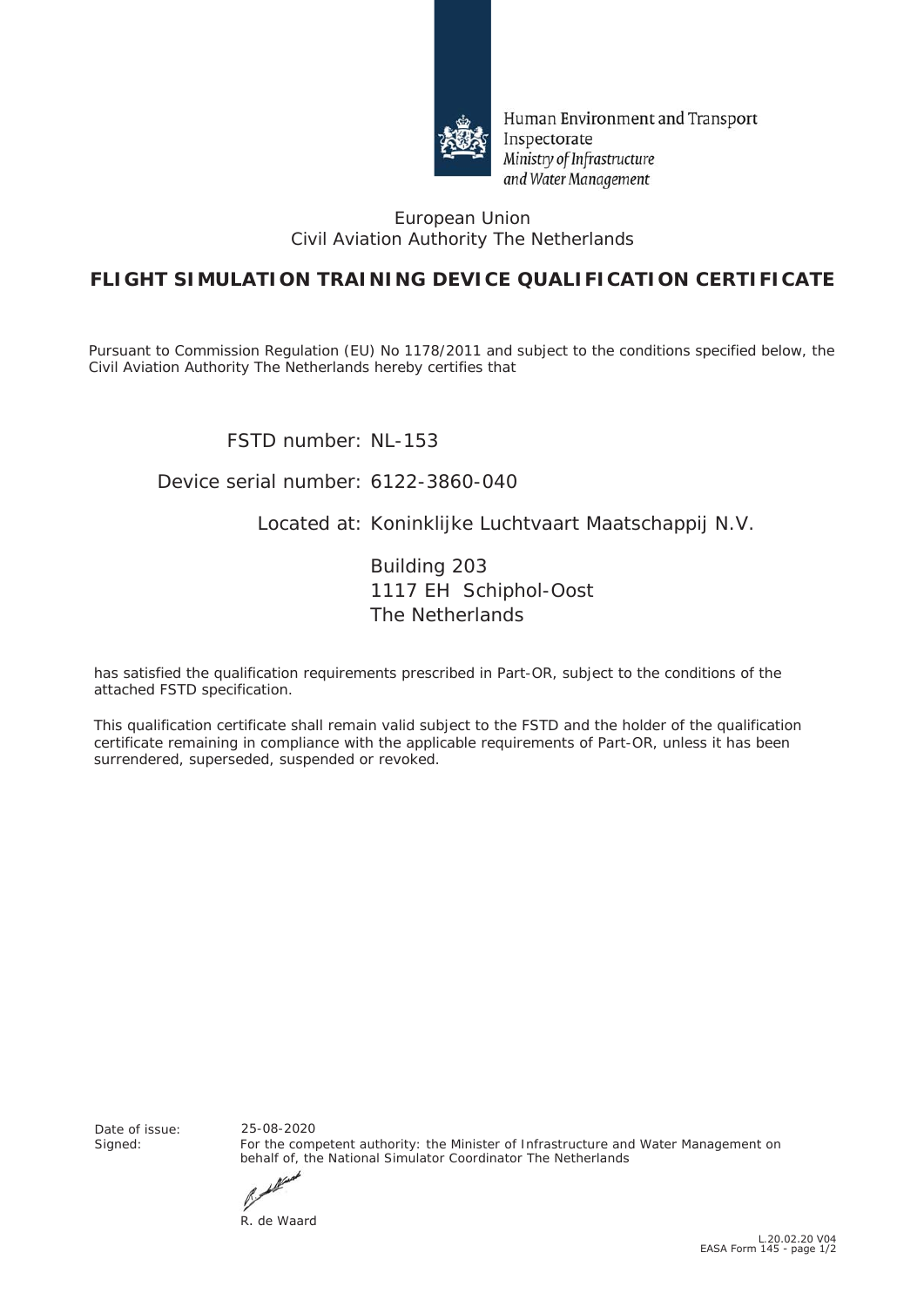

Human Environment and Transport Inspectorate Ministry of Infrastructure and Water Management

#### European Union Civil Aviation Authority The Netherlands

## **FLIGHT SIMULATION TRAINING DEVICE QUALIFICATION CERTIFICATE**

Pursuant to Commission Regulation (EU) No *1178/2011* and subject to the conditions specified below, the Civil Aviation Authority The Netherlands hereby certifies that

FSTD number: NL-153

### Device serial number: 6122-3860-040

### Located at: Koninklijke Luchtvaart Maatschappij N.V.

Building 203 1117 EH Schiphol-Oost The Netherlands

has satisfied the qualification requirements prescribed in Part-OR, subject to the conditions of the attached FSTD specification.

This qualification certificate shall remain valid subject to the FSTD and the holder of the qualification certificate remaining in compliance with the applicable requirements of Part-OR, unless it has been surrendered, superseded, suspended or revoked.

Date of issue:<br>Signed:

For the competent authority: the Minister of Infrastructure and Water Management on behalf of, the National Simulator Coordinator The Netherlands 25-08-2020